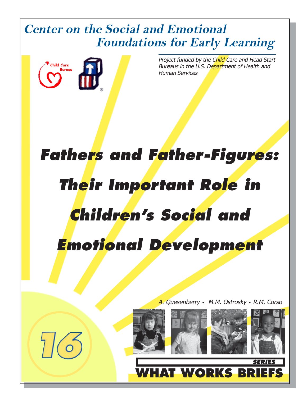## **Center on the Social and Emotional Foundations for Early Learning**



Project funded by the Child Care and Head Start Bureaus in the U.S. Department of Health and Human Services

# *Fathers and Father-Figures: Their Important Role in Children's Social and Emotional Development*

A. Quesenberry *•* M.M. Ostrosky *•* R.M. Corso





**TWORKS** 





*SERIES*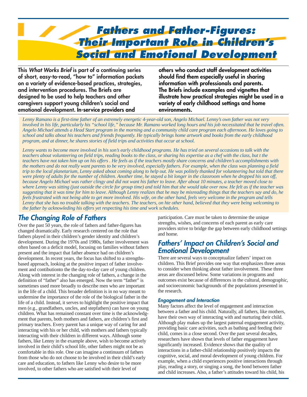

**This** *What Works Brief* **is part of a continuing series of short, easy-to-read, "how to" information packets on a variety of evidence-based practices, strategies, and intervention procedures. The Briefs are designed to be used to help teachers and other caregivers support young children's social and emotional development. In-service providers and**

**others who conduct staff development activities should find them especially useful in sharing information with professionals and parents. The Briefs include examples and vignettes that illustrate how practical strategies might be used in a variety of early childhood settings and home environments.**

*Lenny Ramano is a first-time father of an extremely energetic 4-year-old son, Angelo Michael. Lenny's own father was not very involved in his life, particularly his "school life," because Mr. Ramano worked long hours and his job necessitated that he travel often. Angelo Michael attends a Head Start program in the morning and a community child care program each afternoon. He loves going to school and talks about his teachers and friends frequently. He typically brings home artwork and books from the early childhood program, and at dinner, he shares stories of field trips and activities that occur at school.*

*Lenny wants to become more involved in his son's early childhood programs. He has tried on several occasions to talk with the teachers about volunteering on field trips, reading books to the class, or sharing his expertise as a chef with the class, but t the teachers have not taken him up on his offers . He feels as if the teachers mostly share concerns and children's accomplishments with the mothers and do not really want parents to be very involved, especially fathers. For example, when the class was planning a field trip to the local planetarium, Lenny asked about coming along to help out. He was politely thanked for volunteering but told that there were plenty of adults for the number of children. Another time, he stayed a bit longer in the classroom when he dropped his son off, because Angelo Michael was rather clingy and did not want his father to leave. After about 10 minutes, a teacher moved close to where Lenny was sitting (just outside the circle for group time) and told him that she would take over now. He felt as if the teacher was suggesting that it was time for him to leave. Although Lenny realizes that he may be misreading things that the teachers say and do, he feels frustrated with not being able to get more involved. His wife, on the other hand, feels very welcome in the program and tells Lenny that she has no trouble talking with the teachers. The teachers, on hte other hand, believed that they were being welcoming to the father by acknowleding his offers yet respecting his time and work schedules.*

## *The Changing Role of Fathers*

Over the past 50 years, the role of fathers and father-figures has changed dramatically. Early research centered on the role that fathers played in their children's gender identity and children's development. During the 1970s and 1980s, father involvement was often based on a deficit model, focusing on families without fathers present and the impact that father absence had on children's development. In recent years, the focus has shifted to a strengthsbased approach, looking at the positive impact of father involvement and contibutionto the the day-to-day care of young children. Along with interest in the changing role of fathers, a change in the definition of "father" also has emerged. Now the term "father" is sometimes used more broadly to describe men who are important in the life of a child. This broader definition is in no way meant to undermine the importance of the role of the biological father in the life of a child. Instead, it serves to highlight the positive impact that men (e.g., grandfathers, uncles, and stepfathers) can have on young children. What has remained constant over time is the acknowledgment that parents, both mothers and fathers, are children's first and primary teachers. Every parent has a unique way of caring for and interacting with his or her child, with mothers and fathers typically interacting with their children in different ways. Although some fathers, like Lenny in the example above, wish to become actively involved in their child's school life, other fathers might not be as comfortable in this role. One can imagine a continuum of fathers from those who do not choose to be involved in their child's early care and education, to fathers like Lenny who desire to be more involved, to other fathers who are satisfied with their level of

participation. Care must be taken to determine the unique strengths, wishes, and concerns of each parent as early care providers strive to bridge the gap between early childhood settings and home.

### *Fathers' Impact on Children's Social and Emotional Development*

There are several ways to conceptualize fathers' impact on children. This Brief provides one way that emphasizes three areas to consider when thinking about father involvement. These three areas are discussed below. Some variations in programs and outcomes exist because of differences in the cultural, demographic, and socioeconomic backgrounds of the populations presented in the research.

#### *Engagement and Interaction*

Many factors affect the level of engagement and interaction between a father and his child. Naturally, all fathers, like mothers, have their own way of interacting with and nurturing their child. Although play makes up the largest paternal engagement activity, providing basic care activities, such as bathing and feeding their child, comes in a close second. Over the past several decades, researchers have shown that levels of father engagement have significantly increased. Evidence shows that the quality of interactions in a father-child relationship positively impacts the cognitive, social, and moral development of young children. For example, when a child experiences positive interactions through play, reading a story, or singing a song, the bond between father and child increases. Also, a father's attitudes toward his child, his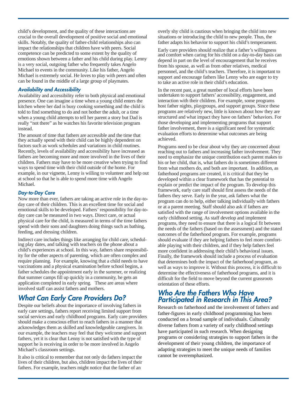child's development, and the quality of these interactions are crucial to the overall development of positive social and emotional skills. Notably, the quality of father-child relationships also can impact the relationships that children have with peers. Social competence can be predicted to some extent by the quality of emotions shown between a father and his child during play. Lenny is a very social, outgoing father who frequently takes Angelo Michael to events in the community. Like his father, Angelo Michael is extremely social. He loves to play with peers and often can be found in the middle of a large group of playmates.

#### *Availability and Accessibility*

Availability and accessibility refer to both physical and emotional presence. One can imagine a time when a young child enters the kitchen where her dad is busy cooking something and the child is told to find something to do and not bother the adult, or a time when a young child attempts to tell her parent a story but Dad is really "not there" as he watches his favorite television program instead.

The amount of time that fathers are accessible and the time that they actually spend with their child can be highly dependent on factors such as work schedules and variations in child routines. Recently, levels of availability and accessibility have increased as fathers are becoming more and more involved in the lives of their children. Fathers may have to be more creative when trying to find ways to spend time with their child outside of the home. For example, in our vignette, Lenny is willing to volunteer and help out at school so that he is able to spend more time with Angelo Michael.

#### *Day-to-Day Care*

Now more than ever, fathers are taking an active role in the day-today care of their children. This is an excellent time for social and emotional skills to be developed. Fathers' responsibility for day-today care can be measured in two ways. Direct care, or actual physical care for the child, is measured in terms of the time fathers spend with their sons and daughters doing things such as bathing, feeding, and dressing children.

Indirect care includes things like arranging for child care, scheduling play dates, and talking with teachers on the phone about a child's experiences at school. In this way, fathers share responsibility for the other aspects of parenting, which are often complex and require planning. For example, knowing that a child needs to have vaccinations and a physical examination before school begins, a father schedules the appointment early in the summer, or realizing that summer camps fill up quickly in a community, he gets an application completed in early spring. These are areas where involved staff can assist fathers and mothers.

## *What Can Early Care Providers Do?*

Despite our beliefs about the importance of involving fathers in early care settings, fathers report receiving limited support from social services and early childhood programs. Early care providers should make a conscious effort to reach fathers in a manner that acknowledges them as skilled and knowledgeable caregivers. In our example, the teachers may feel that they welcome and support fathers, yet it is clear that Lenny is not satisfied with the type of support he is receiving in order to be more involved in Angelo Michael's classroom settings.

It also is critical to remember that not only do fathers impact the lives of their children, but also, children impact the lives of their fathers. For example, teachers might notice that the father of an

overly shy child is cautious when bringing the child into new situations or introducing the child to new people. Thus, the father adapts his behavior to support his child's temperament.

Early care providers should realize that a father's willingness and comfort when caring for his child on a day-to-day basis can depend in part on the level of encouragement that he receives from his spouse, as well as from other relatives, medical personnel, and the child's teachers. Therefore, it is important to support and encourage fathers like Lenny who are eager to try to take an active role in their child's education.

In the recent past, a great number of local efforts have been undertaken to support fathers' accessibility, engagement, and interaction with their children. For example, some programs host father nights, playgroups, and support groups. Since these programs are relatively new, little is known about how they are structured and what impact they have on fathers' behaviors. For those developing and implementing programs that support father involvement, there is a significant need for systematic evaluation efforts to determine what outcomes are being achieved.

Programs need to be clear about why they are concerned about reaching out to fathers and increasing father involvement. They need to emphasize the unique contribution each parent makes to his or her child, that is, what fathers do is sometimes different from what mothers do, and both are important. In addition, as fatherhood programs are created, it is critical that they be developed within a clear framework that has the potential to explain or predict the impact of the program. To develop this framework, early care staff should first assess the needs of the fathers they serve. Early in the year, ask fathers what the program can do to help, either talking individually with fathers or at a parent meeting. Staff should also ask if fathers are satisfied with the range of involvement options available in the early childhood setting. As staff develop and implement programs, they need to ensure that there is a logical fit between the needs of the fathers (based on the assessment) and the stated outcomes of the fatherhood program. For example, programs should evaluate if they are helping fathers to feel more comfortable playing with their children, and if they help fathers feel more confident in addressing their child's behavioral issues. Finally, the framework should include a process of evaluation that determines both the impact of the fatherhood program, as well as ways to improve it. Without this process, it is difficult to determine the effectiveness of fatherhood programs, and it is difficult for the field to move beyond the current grassroots orientation of these efforts.

## *Who Are the Fathers Who Have Participated in Research in This Area?*

Research on fatherhood and the involvement of fathers and father-figures in early childhood programming has been conducted on a broad sample of individuals. Culturally diverse fathers from a variety of early childhood settings have participated in such research. When designing programs or considering strategies to support fathers in the development of their young children, the importance of adapting strategies to meet the unique needs of families cannot be overemphasized.